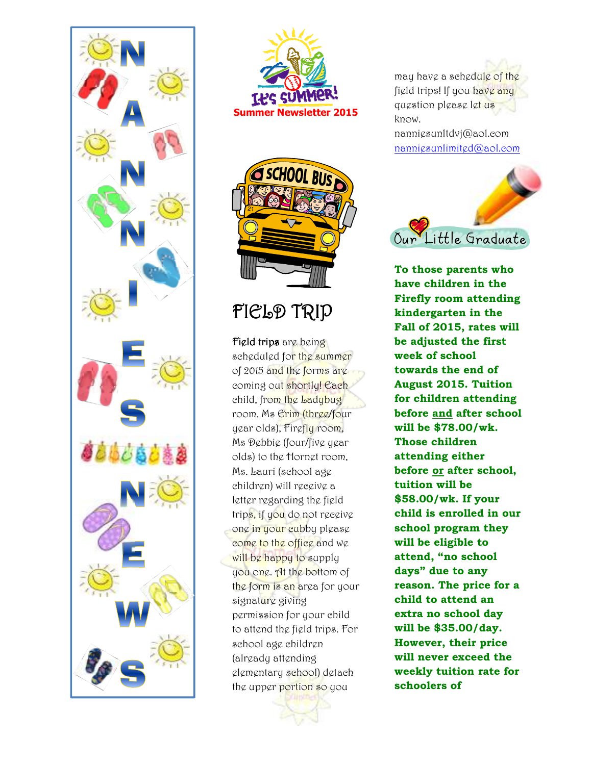





# FIELD TRIP

Field trips are being scheduled for the summer of 2015 and the forms are coming out shortly! Each child, from the Ladybug room, Ms Erim (three/four year olds), Firefly room, Ms Debbie (four/five year olds) to the Hornet room, Ms. Lauri (school age children) will receive a letter regarding the field trips, if you do not receive one in your cubby please come to the office and we will be happy to supply you one. At the bottom of the form is an area for your signature giving permission for your child to attend the field trips. For school age children (already attending elementary school) detach the upper portion so you

may have a schedule of the field trips! If you have any question please let us know. nanniesunltdvj@aol.com

nanniesunlimited@aol.com



**To those parents who have children in the Firefly room attending kindergarten in the Fall of 2015, rates will be adjusted the first week of school towards the end of August 2015. Tuition for children attending before and after school will be \$78.00/wk. Those children attending either before or after school, tuition will be \$58.00/wk. If your child is enrolled in our school program they will be eligible to attend, "no school days" due to any reason. The price for a child to attend an extra no school day will be \$35.00/day. However, their price will never exceed the weekly tuition rate for schoolers of**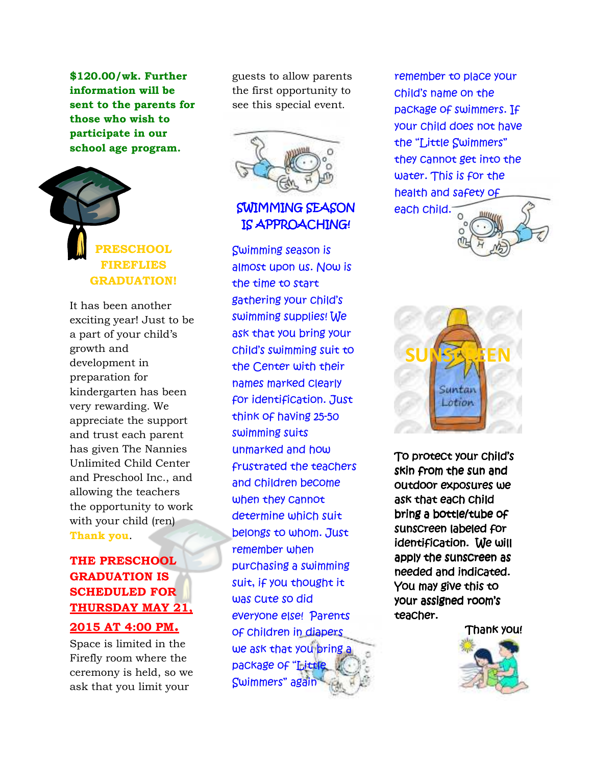**\$120.00/wk. Further information will be sent to the parents for those who wish to participate in our school age program.**

# **PRESCHOOL FIREFLIES GRADUATION!**

It has been another exciting year! Just to be a part of your child's growth and development in preparation for kindergarten has been very rewarding. We appreciate the support and trust each parent has given The Nannies Unlimited Child Center and Preschool Inc., and allowing the teachers the opportunity to work with your child (ren) **Thank you**.

### **THE PRESCHOOL GRADUATION IS SCHEDULED FOR THURSDAY MAY 21,**

#### **2015 AT 4:00 PM.**

Space is limited in the Firefly room where the ceremony is held, so we ask that you limit your

guests to allow parents the first opportunity to see this special event.



### SWIMMING SEASON IS APPROACHING!

Swimming season is almost upon us. Now is the time to start gathering your child's swimming supplies! We ask that you bring your child's swimming suit to the Center with their names marked clearly for identification. Just think of having 25-50 swimming suits unmarked and how frustrated the teachers and children become when they cannot determine which suit belongs to whom. Just remember when purchasing a swimming suit, if you thought it was cute so did everyone else! Parents of children in diapers we ask that you bring package of "Little Swimmers" again

remember to place your child's name on the package of swimmers. If your child does not have the "Little Swimmers" they cannot get into the water. This is for the health and safety of each child.





To protect your child's skin from the sun and outdoor exposures we ask that each child bring a bottle/tube of sunscreen labeled for identification. We will apply the sunscreen as needed and indicated. You may give this to your assigned room's teacher.

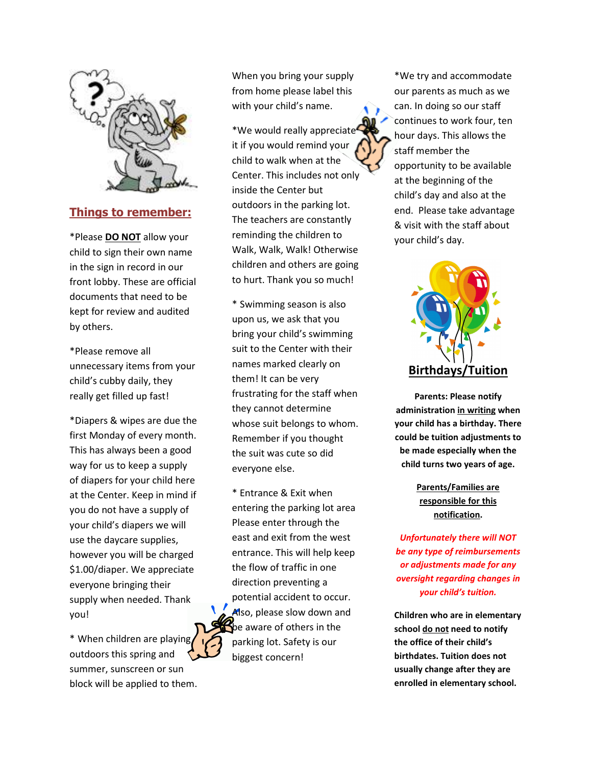

#### **Things to remember:**

\*Please **DO NOT** allow your child to sign their own name in the sign in record in our front lobby. These are official documents that need to be kept for review and audited by others.

\*Please remove all unnecessary items from your child's cubby daily, they really get filled up fast!

\*Diapers & wipes are due the first Monday of every month. This has always been a good way for us to keep a supply of diapers for your child here at the Center. Keep in mind if you do not have a supply of your child's diapers we will use the daycare supplies, however you will be charged \$1.00/diaper. We appreciate everyone bringing their supply when needed. Thank you!

\* When children are playing outdoors this spring and summer, sunscreen or sun block will be applied to them.

When you bring your supply from home please label this with your child's name.

\*We would really appreciate it if you would remind your child to walk when at the Center. This includes not only inside the Center but outdoors in the parking lot. The teachers are constantly reminding the children to Walk, Walk, Walk! Otherwise children and others are going to hurt. Thank you so much!

\* Swimming season is also upon us, we ask that you bring your child's swimming suit to the Center with their names marked clearly on them! It can be very frustrating for the staff when they cannot determine whose suit belongs to whom. Remember if you thought the suit was cute so did everyone else.

\* Entrance & Exit when entering the parking lot area Please enter through the east and exit from the west entrance. This will help keep the flow of traffic in one direction preventing a potential accident to occur. Also, please slow down and be aware of others in the parking lot. Safety is our biggest concern!

\*We try and accommodate our parents as much as we can. In doing so our staff continues to work four, ten hour days. This allows the staff member the opportunity to be available at the beginning of the child's day and also at the end. Please take advantage & visit with the staff about your child's day.



**Parents: Please notify administration in writing when your child has a birthday. There could be tuition adjustments to be made especially when the child turns two years of age.** 

#### **Parents/Families are responsible for this notification.**

*Unfortunately there will NOT be any type of reimbursements or adjustments made for any oversight regarding changes in your child's tuition.* 

**Children who are in elementary school do not need to notify the office of their child's birthdates. Tuition does not usually change after they are enrolled in elementary school.**

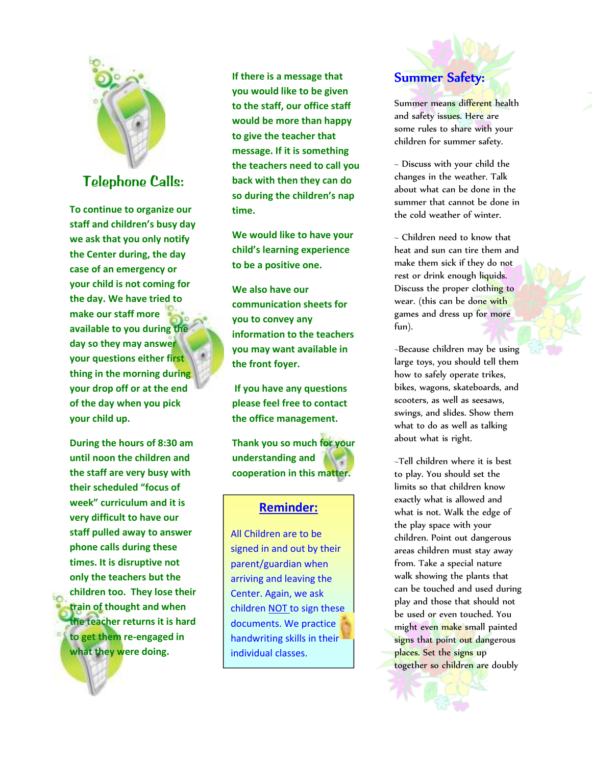

## *Telephone Calls:*

**To continue to organize our staff and children's busy day we ask that you only notify the Center during, the day case of an emergency or your child is not coming for the day. We have tried to make our staff more available to you during the day so they may answer your questions either first thing in the morning during your drop off or at the end of the day when you pick your child up.** 

**During the hours of 8:30 am until noon the children and the staff are very busy with their scheduled "focus of week" curriculum and it is very difficult to have our staff pulled away to answer phone calls during these times. It is disruptive not only the teachers but the children too. They lose their train of thought and when the teacher returns it is hard to get them re-engaged in what they were doing.** 

**If there is a message that you would like to be given to the staff, our office staff would be more than happy to give the teacher that message. If it is something the teachers need to call you back with then they can do so during the children's nap time.** 

**We would like to have your child's learning experience to be a positive one.** 

**We also have our communication sheets for you to convey any information to the teachers you may want available in the front foyer.** 

 **If you have any questions please feel free to contact the office management.** 

**Thank you so much for your understanding and cooperation in this matter.** 

#### **Reminder:**

All Children are to be signed in and out by their parent/guardian when arriving and leaving the Center. Again, we ask children NOT to sign these documents. We practice handwriting skills in their individual classes.



Summer means different health and safety issues. Here are some rules to share with your children for summer safety.

~ Discuss with your child the changes in the weather. Talk about what can be done in the summer that cannot be done in the cold weather of winter.

~ Children need to know that heat and sun can tire them and make them sick if they do not rest or drink enough liquids. Discuss the proper clothing to wear. (this can be done with games and dress up for more fun).

~Because children may be using large toys, you should tell them how to safely operate trikes, bikes, wagons, skateboards, and scooters, as well as seesaws, swings, and slides. Show them what to do as well as talking about what is right.

~Tell children where it is best to play. You should set the limits so that children know exactly what is allowed and what is not. Walk the edge of the play space with your children. Point out dangerous areas children must stay away from. Take a special nature walk showing the plants that can be touched and used during play and those that should not be used or even touched. You might even make small painted signs that point out dangerous places. Set the signs up together so children are doubly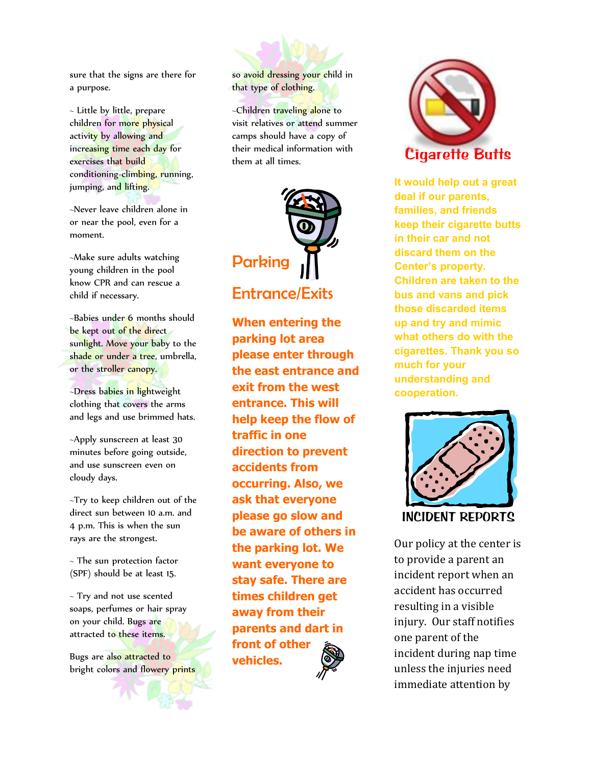sure that the signs are there for a purpose.

~ Little by little, prepare children for more physical activity by allowing and increasing time each day for exercises that build conditioning-climbing, running, jumping, and lifting.

~Never leave children alone in or near the pool, even for a moment.

~Make sure adults watching young children in the pool know CPR and can rescue a child if necessary.

~Babies under 6 months should be kept out of the direct sunlight. Move your baby to the shade or under a tree, umbrella, or the stroller canopy.

~Dress babies in lightweight clothing that covers the arms and legs and use brimmed hats.

~Apply sunscreen at least 30 minutes before going outside, and use sunscreen even on cloudy days.

~Try to keep children out of the direct sun between 10 a.m. and 4 p.m. This is when the sun rays are the strongest.

~ The sun protection factor (SPF) should be at least 15.

~ Try and not use scented soaps, perfumes or hair spray on your child. Bugs are attracted to these items.

Bugs are also attracted to bright colors and flowery prints

so avoid dressing your child in that type of clothing.

~Children traveling alone to visit relatives or attend summer camps should have a copy of their medical information with them at all times.



**When entering the parking lot area please enter through the east entrance and exit from the west entrance. This will help keep the flow of traffic in one direction to prevent accidents from occurring. Also, we ask that everyone please go slow and be aware of others in the parking lot. We want everyone to stay safe. There are times children get away from their parents and dart in front of other vehicles.** 



*Cigarette Butts* 

**It would help out a great deal if our parents, families, and friends keep their cigarette butts in their car and not discard them on the Center's property. Children are taken to the bus and vans and pick those discarded items up and try and mimic what others do with the cigarettes. Thank you so much for your understanding and cooperation.** 



Our policy at the center is to provide a parent an incident report when an accident has occurred resulting in a visible injury. Our staff notifies one parent of the incident during nap time unless the injuries need immediate attention by